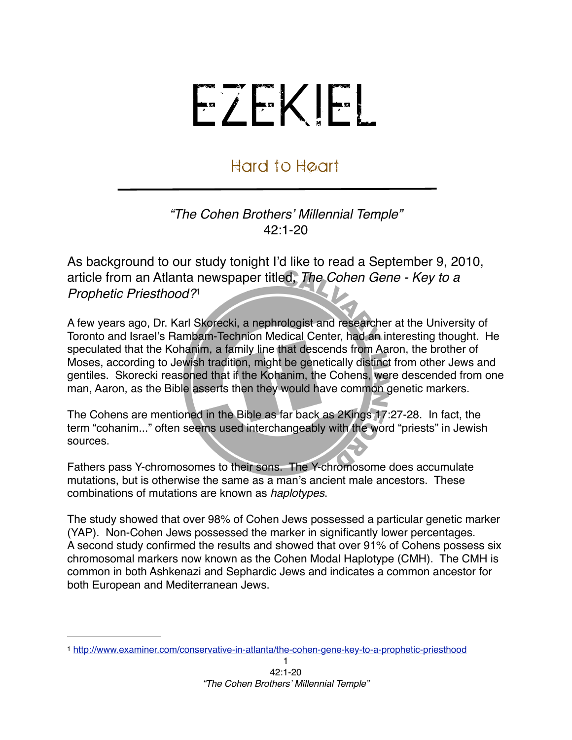## EZEKIEL

## Hard to Heart

*"The Cohen Brothers*' *Millennial Temple"* 42:1-20

As background to our study tonight I'd like to read a September 9, 2010, article from an Atlanta newspaper titled, *The Cohen Gene - Key to a Prophetic Priesthood?*[1](#page-0-0)

A few years ago, Dr. Karl Skorecki, a nephrologist and researcher at the University of Toronto and Israel's Rambam-Technion Medical Center, had an interesting thought. He speculated that the Kohanim, a family line that descends from Aaron, the brother of Moses, according to Jewish tradition, might be genetically distinct from other Jews and gentiles. Skorecki reasoned that if the Kohanim, the Cohens, were descended from one man, Aaron, as the Bible asserts then they would have common genetic markers.

The Cohens are mentioned in the Bible as far back as 2Kings 17:27-28. In fact, the term "cohanim..." often seems used interchangeably with the word "priests" in Jewish sources.

Fathers pass Y-chromosomes to their sons. The Y-chromosome does accumulate mutations, but is otherwise the same as a man's ancient male ancestors. These combinations of mutations are known as *haplotypes*.

The study showed that over 98% of Cohen Jews possessed a particular genetic marker (YAP). Non-Cohen Jews possessed the marker in significantly lower percentages. A second study confirmed the results and showed that over 91% of Cohens possess six chromosomal markers now known as the Cohen Modal Haplotype (CMH). The CMH is common in both Ashkenazi and Sephardic Jews and indicates a common ancestor for both European and Mediterranean Jews.

<span id="page-0-0"></span><sup>1</sup> <http://www.examiner.com/conservative-in-atlanta/the-cohen-gene-key-to-a-prophetic-priesthood>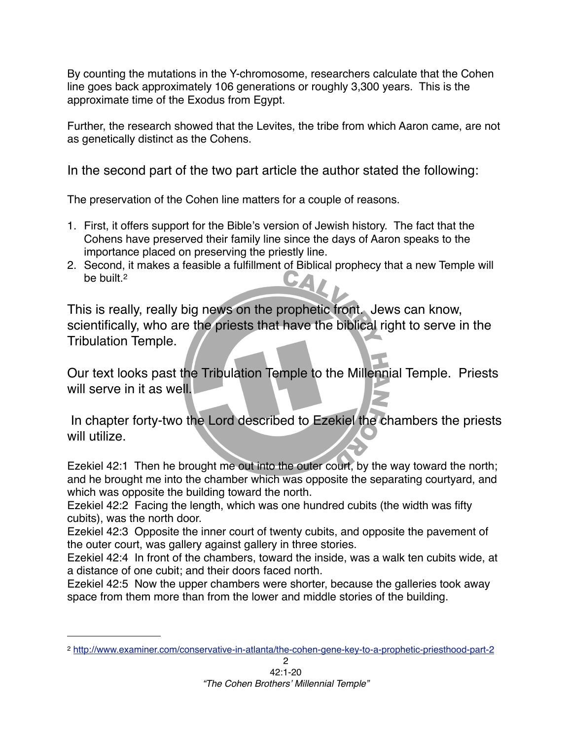By counting the mutations in the Y-chromosome, researchers calculate that the Cohen line goes back approximately 106 generations or roughly 3,300 years. This is the approximate time of the Exodus from Egypt.

Further, the research showed that the Levites, the tribe from which Aaron came, are not as genetically distinct as the Cohens.

In the second part of the two part article the author stated the following:

The preservation of the Cohen line matters for a couple of reasons.

- 1. First, it offers support for the Bible's version of Jewish history. The fact that the Cohens have preserved their family line since the days of Aaron speaks to the importance placed on preserving the priestly line.
- 2. Second, it makes a feasible a fulfillment of Biblical prophecy that a new Temple will be built.<sup>2</sup>  $\rightarrow$

This is really, really big news on the prophetic front. Jews can know, scientifically, who are the priests that have the biblical right to serve in the Tribulation Temple.

Our text looks past the Tribulation Temple to the Millennial Temple. Priests will serve in it as well.

 In chapter forty-two the Lord described to Ezekiel the chambers the priests will utilize.

Ezekiel 42:1 Then he brought me out into the outer court, by the way toward the north; and he brought me into the chamber which was opposite the separating courtyard, and which was opposite the building toward the north.

Ezekiel 42:2 Facing the length, which was one hundred cubits (the width was fifty cubits), was the north door.

Ezekiel 42:3 Opposite the inner court of twenty cubits, and opposite the pavement of the outer court, was gallery against gallery in three stories.

Ezekiel 42:4 In front of the chambers, toward the inside, was a walk ten cubits wide, at a distance of one cubit; and their doors faced north.

Ezekiel 42:5 Now the upper chambers were shorter, because the galleries took away space from them more than from the lower and middle stories of the building.

<span id="page-1-0"></span><sup>2</sup> <http://www.examiner.com/conservative-in-atlanta/the-cohen-gene-key-to-a-prophetic-priesthood-part-2>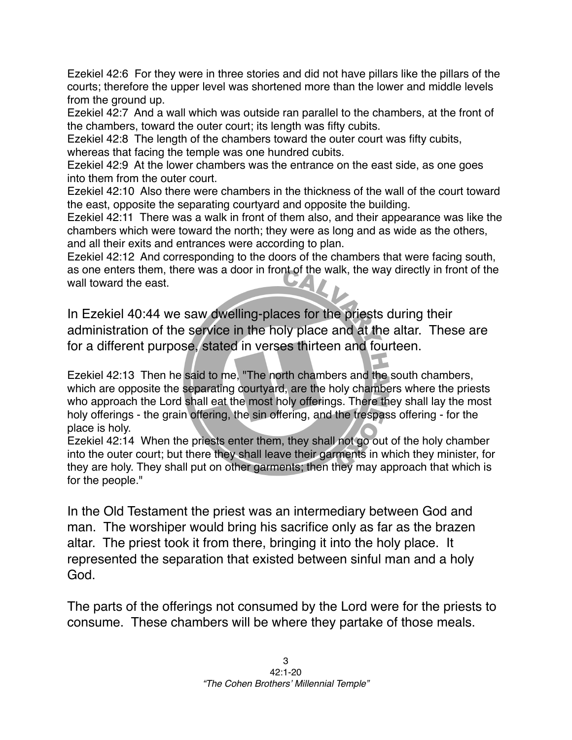Ezekiel 42:6 For they were in three stories and did not have pillars like the pillars of the courts; therefore the upper level was shortened more than the lower and middle levels from the ground up.

Ezekiel 42:7 And a wall which was outside ran parallel to the chambers, at the front of the chambers, toward the outer court; its length was fifty cubits.

Ezekiel 42:8 The length of the chambers toward the outer court was fifty cubits, whereas that facing the temple was one hundred cubits.

Ezekiel 42:9 At the lower chambers was the entrance on the east side, as one goes into them from the outer court.

Ezekiel 42:10 Also there were chambers in the thickness of the wall of the court toward the east, opposite the separating courtyard and opposite the building.

Ezekiel 42:11 There was a walk in front of them also, and their appearance was like the chambers which were toward the north; they were as long and as wide as the others, and all their exits and entrances were according to plan.

Ezekiel 42:12 And corresponding to the doors of the chambers that were facing south, as one enters them, there was a door in front of the walk, the way directly in front of the wall toward the east.

In Ezekiel 40:44 we saw dwelling-places for the priests during their administration of the service in the holy place and at the altar. These are for a different purpose, stated in verses thirteen and fourteen.

Ezekiel 42:13 Then he said to me, "The north chambers and the south chambers, which are opposite the separating courtyard, are the holy chambers where the priests who approach the Lord shall eat the most holy offerings. There they shall lay the most holy offerings - the grain offering, the sin offering, and the trespass offering - for the place is holy.

Ezekiel 42:14 When the priests enter them, they shall not go out of the holy chamber into the outer court; but there they shall leave their garments in which they minister, for they are holy. They shall put on other garments; then they may approach that which is for the people."

In the Old Testament the priest was an intermediary between God and man. The worshiper would bring his sacrifice only as far as the brazen altar. The priest took it from there, bringing it into the holy place. It represented the separation that existed between sinful man and a holy God.

The parts of the offerings not consumed by the Lord were for the priests to consume. These chambers will be where they partake of those meals.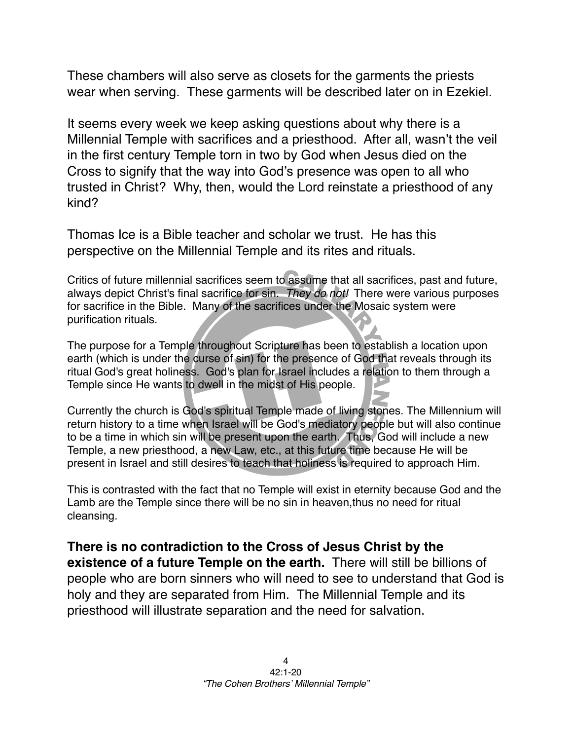These chambers will also serve as closets for the garments the priests wear when serving. These garments will be described later on in Ezekiel.

It seems every week we keep asking questions about why there is a Millennial Temple with sacrifices and a priesthood. After all, wasn't the veil in the first century Temple torn in two by God when Jesus died on the Cross to signify that the way into God's presence was open to all who trusted in Christ? Why, then, would the Lord reinstate a priesthood of any kind?

Thomas Ice is a Bible teacher and scholar we trust. He has this perspective on the Millennial Temple and its rites and rituals.

Critics of future millennial sacrifices seem to assume that all sacrifices, past and future, always depict Christ's final sacrifice for sin. *They do not!* There were various purposes for sacrifice in the Bible. Many of the sacrifices under the Mosaic system were purification rituals.

The purpose for a Temple throughout Scripture has been to establish a location upon earth (which is under the curse of sin) for the presence of God that reveals through its ritual God's great holiness. God's plan for Israel includes a relation to them through a Temple since He wants to dwell in the midst of His people.

Currently the church is God's spiritual Temple made of living stones. The Millennium will return history to a time when Israel will be God's mediatory people but will also continue to be a time in which sin will be present upon the earth. Thus, God will include a new Temple, a new priesthood, a new Law, etc., at this future time because He will be present in Israel and still desires to teach that holiness is required to approach Him.

This is contrasted with the fact that no Temple will exist in eternity because God and the Lamb are the Temple since there will be no sin in heaven,thus no need for ritual cleansing.

**There is no contradiction to the Cross of Jesus Christ by the existence of a future Temple on the earth.** There will still be billions of people who are born sinners who will need to see to understand that God is holy and they are separated from Him. The Millennial Temple and its priesthood will illustrate separation and the need for salvation.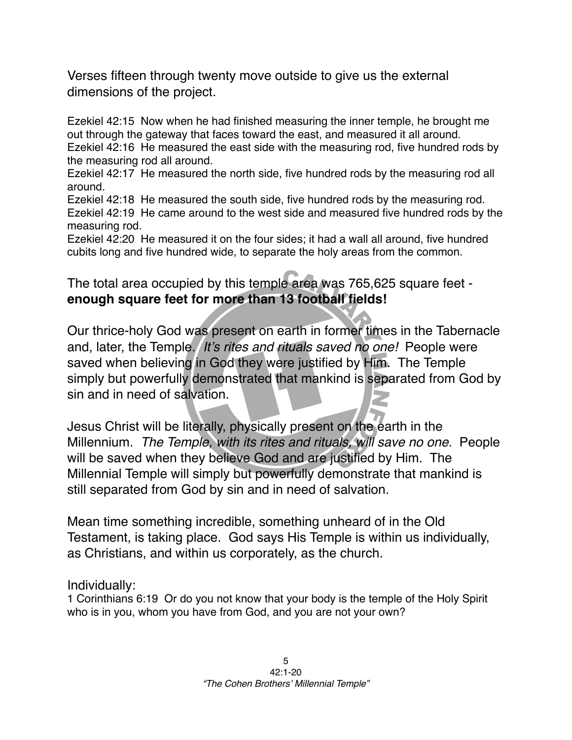Verses fifteen through twenty move outside to give us the external dimensions of the project.

Ezekiel 42:15 Now when he had finished measuring the inner temple, he brought me out through the gateway that faces toward the east, and measured it all around. Ezekiel 42:16 He measured the east side with the measuring rod, five hundred rods by the measuring rod all around.

Ezekiel 42:17 He measured the north side, five hundred rods by the measuring rod all around.

Ezekiel 42:18 He measured the south side, five hundred rods by the measuring rod. Ezekiel 42:19 He came around to the west side and measured five hundred rods by the measuring rod.

Ezekiel 42:20 He measured it on the four sides; it had a wall all around, five hundred cubits long and five hundred wide, to separate the holy areas from the common.

## The total area occupied by this temple area was 765,625 square feet **enough square feet for more than 13 football fields!**

Our thrice-holy God was present on earth in former times in the Tabernacle and, later, the Temple. *It*'*s rites and rituals saved no one!* People were saved when believing in God they were justified by Him. The Temple simply but powerfully demonstrated that mankind is separated from God by sin and in need of salvation.

Jesus Christ will be literally, physically present on the earth in the Millennium. *The Temple, with its rites and rituals, will save no one*. People will be saved when they believe God and are justified by Him. The Millennial Temple will simply but powerfully demonstrate that mankind is still separated from God by sin and in need of salvation.

Mean time something incredible, something unheard of in the Old Testament, is taking place. God says His Temple is within us individually, as Christians, and within us corporately, as the church.

## Individually:

1 Corinthians 6:19 Or do you not know that your body is the temple of the Holy Spirit who is in you, whom you have from God, and you are not your own?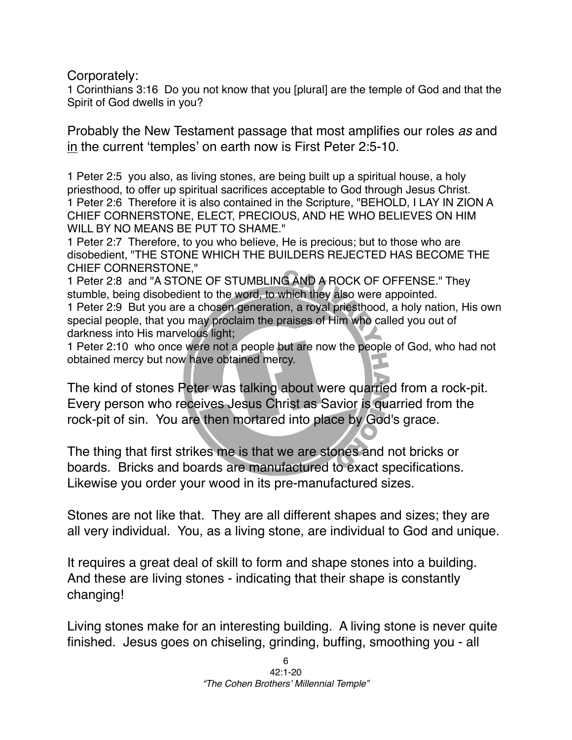Corporately:

1 Corinthians 3:16 Do you not know that you [plural] are the temple of God and that the Spirit of God dwells in you?

Probably the New Testament passage that most amplifies our roles *as* and in the current ʻtemples' on earth now is First Peter 2:5-10.

1 Peter 2:5 you also, as living stones, are being built up a spiritual house, a holy priesthood, to offer up spiritual sacrifices acceptable to God through Jesus Christ. 1 Peter 2:6 Therefore it is also contained in the Scripture, "BEHOLD, I LAY IN ZION A CHIEF CORNERSTONE, ELECT, PRECIOUS, AND HE WHO BELIEVES ON HIM WILL BY NO MEANS BE PUT TO SHAME."

1 Peter 2:7 Therefore, to you who believe, He is precious; but to those who are disobedient, "THE STONE WHICH THE BUILDERS REJECTED HAS BECOME THE CHIEF CORNERSTONE,"

1 Peter 2:8 and "A STONE OF STUMBLING AND A ROCK OF OFFENSE." They stumble, being disobedient to the word, to which they also were appointed.

1 Peter 2:9 But you are a chosen generation, a royal priesthood, a holy nation, His own special people, that you may proclaim the praises of Him who called you out of darkness into His marvelous light;

1 Peter 2:10 who once were not a people but are now the people of God, who had not obtained mercy but now have obtained mercy.

The kind of stones Peter was talking about were quarried from a rock-pit. Every person who receives Jesus Christ as Savior is quarried from the rock-pit of sin. You are then mortared into place by God's grace.

The thing that first strikes me is that we are stones and not bricks or boards. Bricks and boards are manufactured to exact specifications. Likewise you order your wood in its pre-manufactured sizes.

Stones are not like that. They are all different shapes and sizes; they are all very individual. You, as a living stone, are individual to God and unique.

It requires a great deal of skill to form and shape stones into a building. And these are living stones - indicating that their shape is constantly changing!

Living stones make for an interesting building. A living stone is never quite finished. Jesus goes on chiseling, grinding, buffing, smoothing you - all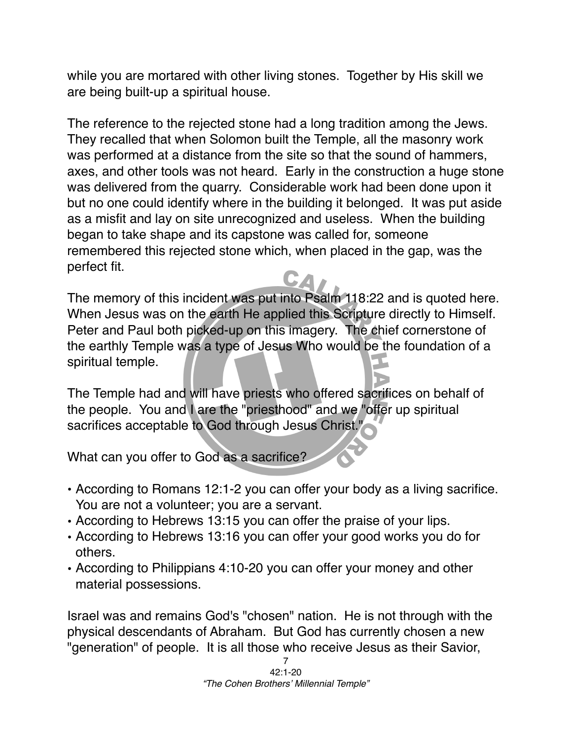while you are mortared with other living stones. Together by His skill we are being built-up a spiritual house.

The reference to the rejected stone had a long tradition among the Jews. They recalled that when Solomon built the Temple, all the masonry work was performed at a distance from the site so that the sound of hammers, axes, and other tools was not heard. Early in the construction a huge stone was delivered from the quarry. Considerable work had been done upon it but no one could identify where in the building it belonged. It was put aside as a misfit and lay on site unrecognized and useless. When the building began to take shape and its capstone was called for, someone remembered this rejected stone which, when placed in the gap, was the perfect fit.

The memory of this incident was put into Psalm 118:22 and is quoted here. When Jesus was on the earth He applied this Scripture directly to Himself. Peter and Paul both picked-up on this imagery. The chief cornerstone of the earthly Temple was a type of Jesus Who would be the foundation of a spiritual temple.

The Temple had and will have priests who offered sacrifices on behalf of the people. You and I are the "priesthood" and we "offer up spiritual sacrifices acceptable to God through Jesus Christ.'

What can you offer to God as a sacrifice?

- According to Romans 12:1-2 you can offer your body as a living sacrifice. You are not a volunteer; you are a servant.
- According to Hebrews 13:15 you can offer the praise of your lips.
- According to Hebrews 13:16 you can offer your good works you do for others.
- According to Philippians 4:10-20 you can offer your money and other material possessions.

Israel was and remains God's "chosen" nation. He is not through with the physical descendants of Abraham. But God has currently chosen a new "generation" of people. It is all those who receive Jesus as their Savior,